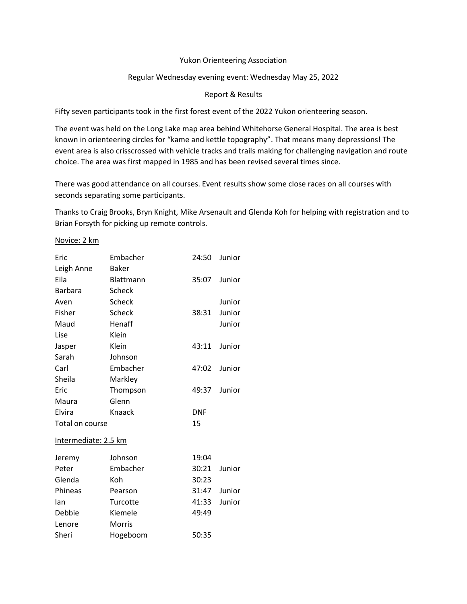## Yukon Orienteering Association

## Regular Wednesday evening event: Wednesday May 25, 2022

## Report & Results

Fifty seven participants took in the first forest event of the 2022 Yukon orienteering season.

The event was held on the Long Lake map area behind Whitehorse General Hospital. The area is best known in orienteering circles for "kame and kettle topography". That means many depressions! The event area is also crisscrossed with vehicle tracks and trails making for challenging navigation and route choice. The area was first mapped in 1985 and has been revised several times since.

There was good attendance on all courses. Event results show some close races on all courses with seconds separating some participants.

Thanks to Craig Brooks, Bryn Knight, Mike Arsenault and Glenda Koh for helping with registration and to Brian Forsyth for picking up remote controls.

## Novice: 2 km

| Eric                 | Embacher      | 24:50      | Junior |  |  |
|----------------------|---------------|------------|--------|--|--|
| Leigh Anne           | <b>Baker</b>  |            |        |  |  |
| Eila                 | Blattmann     | 35:07      | Junior |  |  |
| <b>Barbara</b>       | Scheck        |            |        |  |  |
| Aven                 | <b>Scheck</b> |            | Junior |  |  |
| Fisher               | <b>Scheck</b> | 38:31      | Junior |  |  |
| Maud                 | Henaff        |            | Junior |  |  |
| Lise                 | Klein         |            |        |  |  |
| Jasper               | Klein         | 43:11      | Junior |  |  |
| Sarah                | Johnson       |            |        |  |  |
| Carl                 | Embacher      | 47:02      | Junior |  |  |
| Sheila               | Markley       |            |        |  |  |
| Eric                 | Thompson      | 49:37      | Junior |  |  |
| Maura                | Glenn         |            |        |  |  |
| Elvira               | Knaack        | <b>DNF</b> |        |  |  |
| Total on course      |               | 15         |        |  |  |
| Intermediate: 2.5 km |               |            |        |  |  |
| Jeremy               | Johnson       | 19:04      |        |  |  |
| Peter                | Embacher      | 30:21      | Junior |  |  |
| Glenda               | Koh           | 30:23      |        |  |  |
| Phineas              | Pearson       | 31:47      | Junior |  |  |
| lan                  | Turcotte      | 41:33      | Junior |  |  |
| Debbie               | Kiemele       | 49:49      |        |  |  |
| Lenore               | <b>Morris</b> |            |        |  |  |
|                      |               |            |        |  |  |